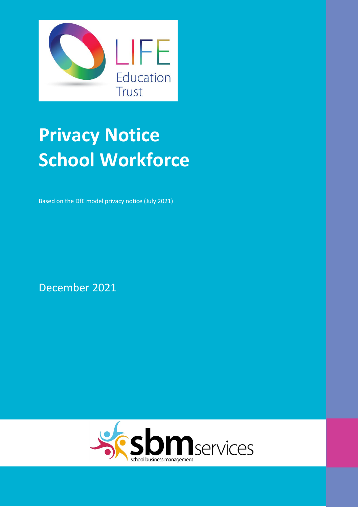

# **Privacy Notice School Workforce**

Based on the DfE model privacy notice (July 2021)

December 2021

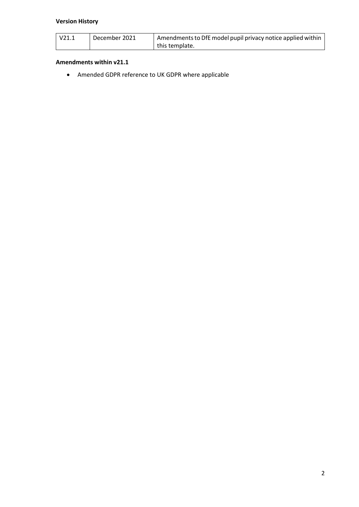## **Version History**

| $\sqrt{21.1}$ | December 2021 | Amendments to DfE model pupil privacy notice applied within |
|---------------|---------------|-------------------------------------------------------------|
|               |               | this template.                                              |

#### **Amendments within v21.1**

Amended GDPR reference to UK GDPR where applicable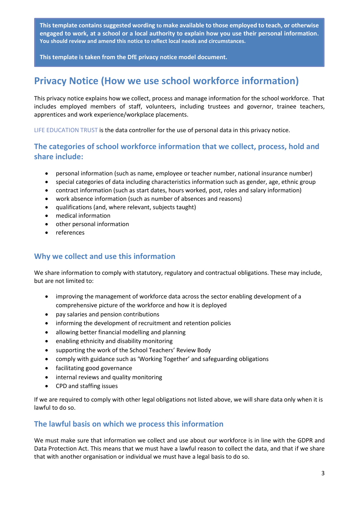**This template contains suggested wording to make available to those employed to teach, or otherwise engaged to work, at a school or a local authority to explain how you use their personal information. You should review and amend this notice to reflect local needs and circumstances.**

**This template is taken from the DfE privacy notice model document.**

## **Privacy Notice (How we use school workforce information)**

This privacy notice explains how we collect, process and manage information for the school workforce. That includes employed members of staff, volunteers, including trustees and governor, trainee teachers, apprentices and work experience/workplace placements.

LIFE EDUCATION TRUST is the data controller for the use of personal data in this privacy notice.

## **The categories of school workforce information that we collect, process, hold and share include:**

- personal information (such as name, employee or teacher number, national insurance number)
- special categories of data including characteristics information such as gender, age, ethnic group
- contract information (such as start dates, hours worked, post, roles and salary information)
- work absence information (such as number of absences and reasons)
- qualifications (and, where relevant, subjects taught)
- medical information
- other personal information
- references

## **Why we collect and use this information**

We share information to comply with statutory, regulatory and contractual obligations. These may include, but are not limited to:

- improving the management of workforce data across the sector enabling development of a comprehensive picture of the workforce and how it is deployed
- pay salaries and pension contributions
- informing the development of recruitment and retention policies
- allowing better financial modelling and planning
- enabling ethnicity and disability monitoring
- supporting the work of the School Teachers' Review Body
- comply with guidance such as 'Working Together' and safeguarding obligations
- facilitating good governance
- internal reviews and quality monitoring
- CPD and staffing issues

If we are required to comply with other legal obligations not listed above, we will share data only when it is lawful to do so.

## **The lawful basis on which we process this information**

We must make sure that information we collect and use about our workforce is in line with the GDPR and Data Protection Act. This means that we must have a lawful reason to collect the data, and that if we share that with another organisation or individual we must have a legal basis to do so.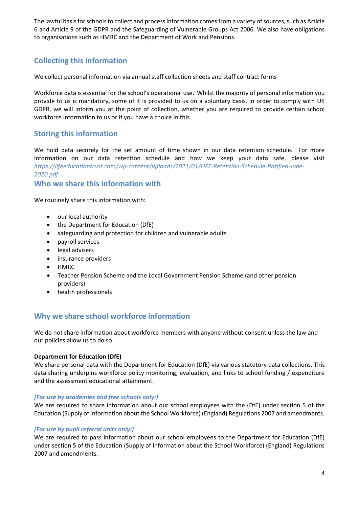The lawful basis for schools to collect and process information comes from a variety of sources, such as Article 6 and Article 9 of the GDPR and the Safeguarding of Vulnerable Groups Act 2006. We also have obligations to organisations such as HMRC and the Department of Work and Pensions.

## **Collecting this information**

We collect personal information via annual staff collection sheets and staff contract forms

Workforce data is essential for the school's operational use. Whilst the majority of personal information you provide to us is mandatory, some of it is provided to us on a voluntary basis. In order to comply with UK GDPR, we will inform you at the point of collection, whether you are required to provide certain school workforce information to us or if you have a choice in this.

## **Storing this information**

We hold data securely for the set amount of time shown in our data retention schedule. For more information on our data retention schedule and how we keep your data safe, please visit *https://lifeeducationtrust.com/wp-content/uploads/2021/01/LIFE-Retention-Schedule-Ratified-June-2020.pdf*

## **Who we share this information with**

We routinely share this information with:

- our local authority
- the Department for Education (DfE)
- safeguarding and protection for children and vulnerable adults
- payroll services
- legal advisers
- insurance providers
- HMRC
- Teacher Pension Scheme and the Local Government Pension Scheme (and other pension providers)
- health professionals

## **Why we share school workforce information**

We do not share information about workforce members with anyone without consent unless the law and our policies allow us to do so.

#### **Department for Education (DfE)**

We share personal data with the Department for Education (DfE) via various statutory data collections. This data sharing underpins workforce policy monitoring, evaluation, and links to school funding / expenditure and the assessment educational attainment.

#### *[For use by academies and free schools only:]*

We are required to share information about our school employees with the (DfE) under section 5 of the Education (Supply of Information about the School Workforce) (England) Regulations 2007 and amendments.

#### *[For use by pupil referral units only:]*

We are required to pass information about our school employees to the Department for Education (DfE) under section 5 of the Education (Supply of Information about the School Workforce) (England) Regulations 2007 and amendments.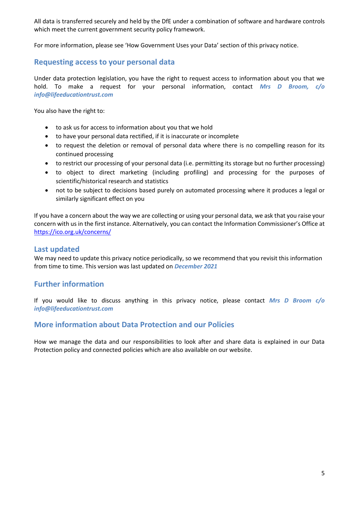All data is transferred securely and held by the DfE under a combination of software and hardware controls which meet the current government security policy framework.

For more information, please see 'How Government Uses your Data' section of this privacy notice.

### **Requesting access to your personal data**

Under data protection legislation, you have the right to request access to information about you that we hold. To make a request for your personal information, contact *Mrs D Broom, c/o info@lifeeducationtrust.com*

You also have the right to:

- to ask us for access to information about you that we hold
- to have your personal data rectified, if it is inaccurate or incomplete
- to request the deletion or removal of personal data where there is no compelling reason for its continued processing
- to restrict our processing of your personal data (i.e. permitting its storage but no further processing)
- to object to direct marketing (including profiling) and processing for the purposes of scientific/historical research and statistics
- not to be subject to decisions based purely on automated processing where it produces a legal or similarly significant effect on you

If you have a concern about the way we are collecting or using your personal data, we ask that you raise your concern with us in the first instance. Alternatively, you can contact the Information Commissioner's Office at <https://ico.org.uk/concerns/>

#### **Last updated**

We may need to update this privacy notice periodically, so we recommend that you revisit this information from time to time. This version was last updated on *December 2021*

#### **Further information**

If you would like to discuss anything in this privacy notice, please contact *Mrs D Broom c/o info@lifeeducationtrust.com*

#### **More information about Data Protection and our Policies**

How we manage the data and our responsibilities to look after and share data is explained in our Data Protection policy and connected policies which are also available on our website.